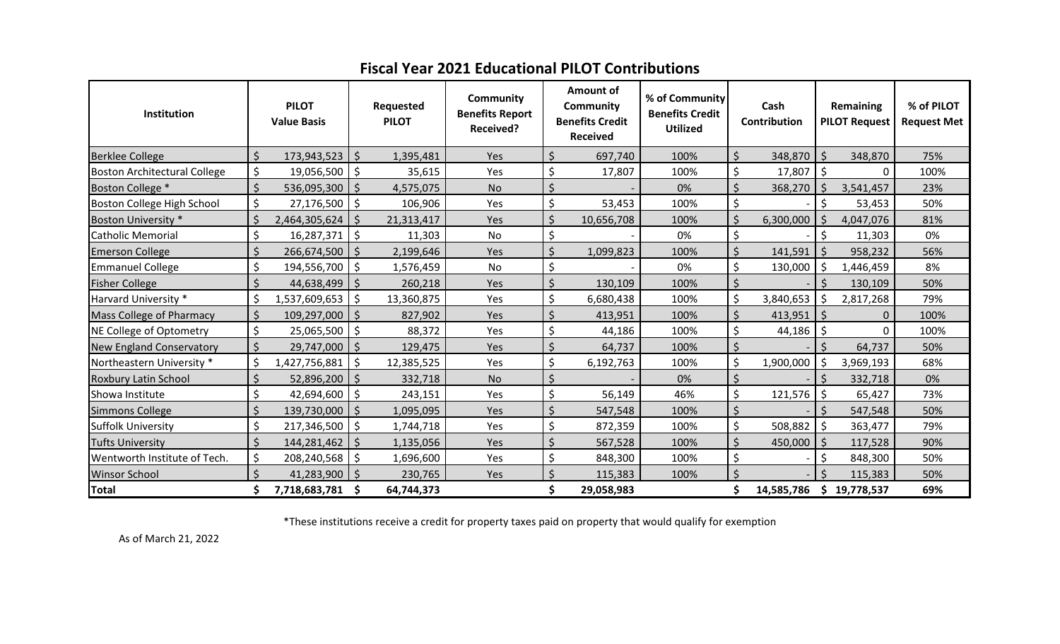| Institution                         |                    | <b>PILOT</b><br><b>Value Basis</b> |                    | Requested<br><b>PILOT</b> | Community<br><b>Benefits Report</b><br><b>Received?</b> |                    | Amount of<br>Community<br><b>Benefits Credit</b><br><b>Received</b> | % of Community<br><b>Benefits Credit</b><br><b>Utilized</b> |                    | Cash<br>Contribution |                    | Remaining<br><b>PILOT Request</b> | % of PILOT<br><b>Request Met</b> |
|-------------------------------------|--------------------|------------------------------------|--------------------|---------------------------|---------------------------------------------------------|--------------------|---------------------------------------------------------------------|-------------------------------------------------------------|--------------------|----------------------|--------------------|-----------------------------------|----------------------------------|
| <b>Berklee College</b>              | $\zeta$            | 173,943,523                        | $\zeta$            | 1,395,481                 | Yes                                                     | Ś                  | 697,740                                                             | 100%                                                        | \$                 | 348,870              | $\zeta$            | 348,870                           | 75%                              |
| <b>Boston Architectural College</b> | \$                 | 19,056,500                         | \$                 | 35,615                    | Yes                                                     | \$                 | 17,807                                                              | 100%                                                        | \$                 | 17,807               | \$                 | 0                                 | 100%                             |
| Boston College *                    | $\zeta$            | 536,095,300                        | $\zeta$            | 4,575,075                 | <b>No</b>                                               | $\zeta$            |                                                                     | 0%                                                          | \$                 | 368,270              | $\zeta$            | 3,541,457                         | 23%                              |
| Boston College High School          | \$                 | 27,176,500                         | \$                 | 106,906                   | Yes                                                     | \$                 | 53,453                                                              | 100%                                                        | \$                 |                      | \$                 | 53,453                            | 50%                              |
| Boston University *                 | $\zeta$            | 2,464,305,624                      |                    | 21,313,417                | Yes                                                     | Ś                  | 10,656,708                                                          | 100%                                                        | Ś.                 | 6,300,000            | <sup>5</sup>       | 4,047,076                         | 81%                              |
| Catholic Memorial                   | \$                 | 16,287,371                         | $\zeta$            | 11,303                    | No                                                      | \$                 |                                                                     | 0%                                                          | \$                 |                      | \$                 | 11,303                            | 0%                               |
| <b>Emerson College</b>              | $\zeta$            | 266,674,500                        | $\zeta$            | 2,199,646                 | Yes                                                     | $\zeta$            | 1,099,823                                                           | 100%                                                        | \$                 | 141,591              | $\zeta$            | 958,232                           | 56%                              |
| <b>Emmanuel College</b>             | \$                 | 194,556,700                        | \$                 | 1,576,459                 | No                                                      | \$                 |                                                                     | 0%                                                          | Ś                  | 130,000              | \$                 | 1,446,459                         | 8%                               |
| <b>Fisher College</b>               | $\mathsf{\dot{S}}$ | 44,638,499                         | l \$               | 260,218                   | Yes                                                     | $\zeta$            | 130,109                                                             | 100%                                                        | \$                 |                      | $\mathsf{\dot{S}}$ | 130,109                           | 50%                              |
| Harvard University *                | $\zeta$            | 1,537,609,653                      | \$                 | 13,360,875                | Yes                                                     | \$                 | 6,680,438                                                           | 100%                                                        | \$                 | 3,840,653            | Ś.                 | 2,817,268                         | 79%                              |
| Mass College of Pharmacy            | $\zeta$            | 109,297,000                        | S.                 | 827,902                   | Yes                                                     | $\zeta$            | 413,951                                                             | 100%                                                        | Ś                  | 413,951              | S.                 | 0                                 | 100%                             |
| NE College of Optometry             | \$                 | 25,065,500                         | \$                 | 88,372                    | Yes                                                     | \$                 | 44,186                                                              | 100%                                                        | \$                 | 44,186               | \$                 | $\mathbf 0$                       | 100%                             |
| <b>New England Conservatory</b>     | $\zeta$            | 29,747,000                         | $\zeta$            | 129,475                   | Yes                                                     | $\zeta$            | 64,737                                                              | 100%                                                        | $\mathsf{\dot{S}}$ |                      | $\zeta$            | 64,737                            | 50%                              |
| Northeastern University *           | \$                 | 1,427,756,881                      | \$                 | 12,385,525                | Yes                                                     | \$                 | 6,192,763                                                           | 100%                                                        | \$                 | 1,900,000            | $\zeta$            | 3,969,193                         | 68%                              |
| Roxbury Latin School                | $\zeta$            | 52,896,200                         | $\zeta$            | 332,718                   | <b>No</b>                                               | $\zeta$            |                                                                     | 0%                                                          | \$                 |                      | Ś.                 | 332,718                           | 0%                               |
| Showa Institute                     | $\zeta$            | 42,694,600                         | $\ddot{\circ}$     | 243,151                   | Yes                                                     | \$                 | 56,149                                                              | 46%                                                         | \$                 | 121,576              | $\mathsf{S}$       | 65,427                            | 73%                              |
| <b>Simmons College</b>              | Ś                  | 139,730,000                        | \$                 | 1,095,095                 | Yes                                                     | $\mathsf{\hat{S}}$ | 547,548                                                             | 100%                                                        | \$                 |                      | <sup>S</sup>       | 547,548                           | 50%                              |
| <b>Suffolk University</b>           | \$                 | 217,346,500                        | \$.                | 1,744,718                 | Yes                                                     | \$                 | 872,359                                                             | 100%                                                        | $\zeta$            | 508,882              | S.                 | 363,477                           | 79%                              |
| Tufts University                    | $\zeta$            | 144,281,462                        | $\mathsf{\hat{S}}$ | 1,135,056                 | Yes                                                     | $\mathsf{\dot{S}}$ | 567,528                                                             | 100%                                                        | Ś                  | 450,000              | $\zeta$            | 117,528                           | 90%                              |
| Wentworth Institute of Tech.        | \$                 | 208,240,568                        | \$                 | 1,696,600                 | Yes                                                     | \$                 | 848,300                                                             | 100%                                                        | \$                 |                      | Ś                  | 848,300                           | 50%                              |
| <b>Winsor School</b>                | $\mathsf{\dot{S}}$ | 41,283,900                         | Ŝ.                 | 230,765                   | Yes                                                     | Ś                  | 115,383                                                             | 100%                                                        | ς                  |                      | ς                  | 115,383                           | 50%                              |
| <b>Total</b>                        | \$                 | 7,718,683,781                      | \$                 | 64,744,373                |                                                         | \$                 | 29,058,983                                                          |                                                             | \$                 | 14,585,786           |                    | \$19,778,537                      | 69%                              |

## **Fiscal Year 2021 Educational PILOT Contributions**

\*These institutions receive a credit for property taxes paid on property that would qualify for exemption

As of March 21, 2022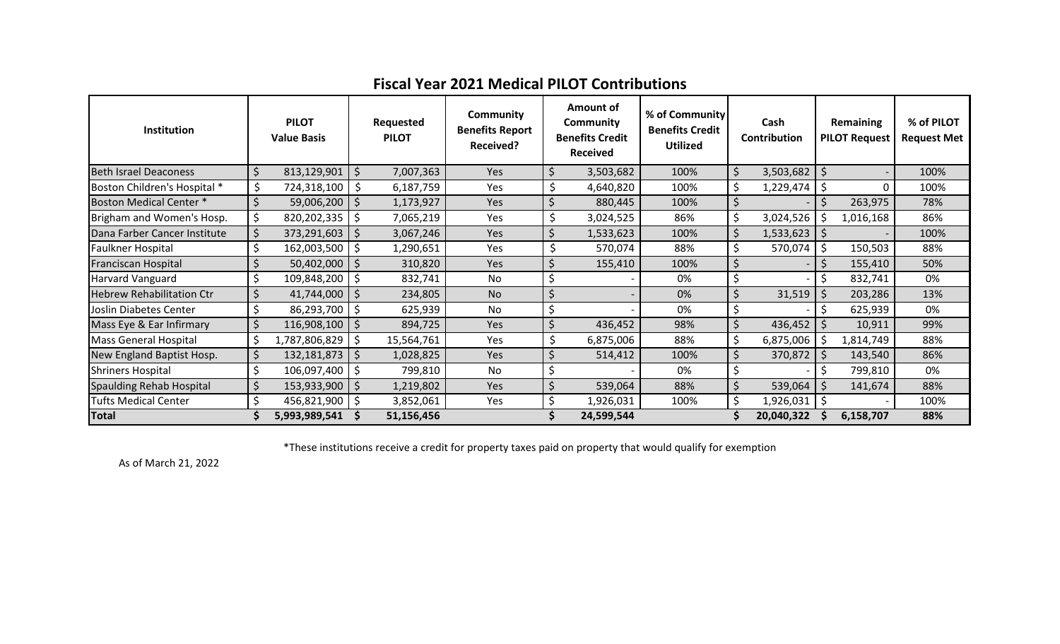| <b>Fiscal Year 2021 Medical PILOT Contributions</b> |  |  |
|-----------------------------------------------------|--|--|
|-----------------------------------------------------|--|--|

| Institution                      |    | <b>PILOT</b><br><b>Value Basis</b> |         | Requested<br><b>PILOT</b> | Community<br><b>Benefits Report</b><br><b>Received?</b> |    | Amount of<br>Community<br><b>Benefits Credit</b><br><b>Received</b> | % of Community<br><b>Benefits Credit</b><br><b>Utilized</b> | Cash<br>Contribution |            | Remaining<br><b>PILOT Request</b> |           | % of PILOT<br><b>Request Met</b> |
|----------------------------------|----|------------------------------------|---------|---------------------------|---------------------------------------------------------|----|---------------------------------------------------------------------|-------------------------------------------------------------|----------------------|------------|-----------------------------------|-----------|----------------------------------|
| <b>Beth Israel Deaconess</b>     | Ś  | 813,129,901                        | \$.     | 7,007,363                 | Yes                                                     |    | 3,503,682                                                           | 100%                                                        | \$                   | 3,503,682  | \$                                |           | 100%                             |
| Boston Children's Hospital *     | \$ | 724,318,100                        | \$.     | 6,187,759                 | Yes                                                     |    | 4,640,820                                                           | 100%                                                        |                      | 1,229,474  | $\zeta$                           | $\Omega$  | 100%                             |
| <b>Boston Medical Center *</b>   |    | 59,006,200                         | \$      | 1,173,927                 | Yes                                                     |    | 880,445                                                             | 100%                                                        |                      |            |                                   | 263,975   | 78%                              |
| Brigham and Women's Hosp.        | \$ | 820,202,335                        | .S      | 7,065,219                 | Yes                                                     | \$ | 3,024,525                                                           | 86%                                                         |                      | 3,024,526  | \$                                | 1,016,168 | 86%                              |
| Dana Farber Cancer Institute     | \$ | 373,291,603                        | $\zeta$ | 3,067,246                 | <b>Yes</b>                                              | Ś  | 1,533,623                                                           | 100%                                                        | \$                   | 1,533,623  | \$                                |           | 100%                             |
| Faulkner Hospital                | \$ | 162,003,500                        | -\$     | 1,290,651                 | Yes                                                     | \$ | 570,074                                                             | 88%                                                         |                      | 570,074    | \$                                | 150,503   | 88%                              |
| <b>Franciscan Hospital</b>       |    | 50,402,000                         | -\$     | 310,820                   | <b>Yes</b>                                              | \$ | 155,410                                                             | 100%                                                        | \$                   |            | Ś.                                | 155,410   | 50%                              |
| <b>Harvard Vanguard</b>          | \$ | 109,848,200                        | -\$     | 832,741                   | No                                                      | \$ |                                                                     | 0%                                                          |                      |            |                                   | 832,741   | 0%                               |
| <b>Hebrew Rehabilitation Ctr</b> |    | 41,744,000                         | \$      | 234,805                   | No                                                      | \$ |                                                                     | 0%                                                          |                      | 31,519     | \$                                | 203,286   | 13%                              |
| Joslin Diabetes Center           |    | 86,293,700                         | -Ş      | 625,939                   | No.                                                     | \$ |                                                                     | 0%                                                          |                      |            |                                   | 625,939   | 0%                               |
| Mass Eye & Ear Infirmary         | Ś  | 116,908,100                        | -S      | 894,725                   | Yes                                                     | \$ | 436,452                                                             | 98%                                                         |                      | 436,452    |                                   | 10,911    | 99%                              |
| <b>Mass General Hospital</b>     | \$ | 1,787,806,829                      | \$      | 15,564,761                | Yes                                                     | \$ | 6,875,006                                                           | 88%                                                         |                      | 6,875,006  | S.                                | 1,814,749 | 88%                              |
| New England Baptist Hosp.        | \$ | 132,181,873                        | -\$     | 1,028,825                 | <b>Yes</b>                                              | \$ | 514,412                                                             | 100%                                                        |                      | 370,872    | \$                                | 143,540   | 86%                              |
| <b>Shriners Hospital</b>         | \$ | 106,097,400                        | -\$     | 799,810                   | No                                                      | \$ |                                                                     | 0%                                                          |                      |            |                                   | 799,810   | 0%                               |
| <b>Spaulding Rehab Hospital</b>  | \$ | 153,933,900                        | -\$     | 1,219,802                 | <b>Yes</b>                                              | \$ | 539,064                                                             | 88%                                                         |                      | 539,064    | \$                                | 141,674   | 88%                              |
| <b>Tufts Medical Center</b>      | Ś  | $456,821,900$   \$                 |         | 3,852,061                 | <b>Yes</b>                                              | \$ | 1,926,031                                                           | 100%                                                        |                      | 1,926,031  |                                   |           | 100%                             |
| <b>Total</b>                     |    | 5,993,989,541                      |         | 51,156,456                |                                                         |    | 24,599,544                                                          |                                                             |                      | 20,040,322 |                                   | 6,158,707 | 88%                              |

\*These institutions receive a credit for property taxes paid on property that would qualify for exemption

As of March 21, 2022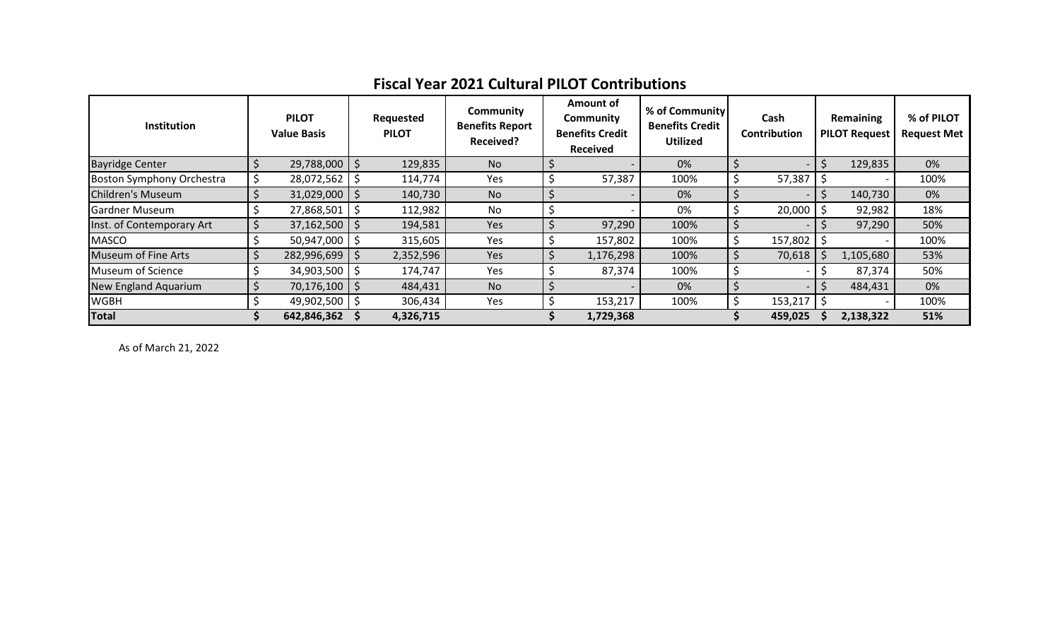## **Fiscal Year 2021 Cultural PILOT Contributions**

| <b>Institution</b>               | <b>PILOT</b><br><b>Value Basis</b> |     | Requested<br><b>PILOT</b> | Community<br><b>Benefits Report</b><br><b>Received?</b> | <b>Amount of</b><br>Community<br><b>Benefits Credit</b><br>Received | % of Community<br><b>Benefits Credit</b><br><b>Utilized</b> | Cash<br>Contribution | Remaining<br><b>PILOT Request</b> | % of PILOT<br><b>Request Met</b> |
|----------------------------------|------------------------------------|-----|---------------------------|---------------------------------------------------------|---------------------------------------------------------------------|-------------------------------------------------------------|----------------------|-----------------------------------|----------------------------------|
| <b>Bayridge Center</b>           | 29,788,000 \$                      |     | 129,835                   | <b>No</b>                                               |                                                                     | 0%                                                          |                      | 129,835                           | 0%                               |
| <b>Boston Symphony Orchestra</b> | \$<br>28,072,562                   |     | 114,774                   | <b>Yes</b>                                              | 57,387                                                              | 100%                                                        | 57,387               |                                   | 100%                             |
| <b>Children's Museum</b>         | $31,029,000$   \$                  |     | 140,730                   | N <sub>o</sub>                                          |                                                                     | 0%                                                          |                      | 140,730                           | 0%                               |
| <b>Gardner Museum</b>            | 27,868,501                         |     | 112,982                   | No                                                      |                                                                     | 0%                                                          | 20,000               | 92,982                            | 18%                              |
| Inst. of Contemporary Art        | 37,162,500                         | l S | 194,581                   | <b>Yes</b>                                              | 97,290                                                              | 100%                                                        |                      | 97,290                            | 50%                              |
| <b>MASCO</b>                     | 50,947,000                         |     | 315,605                   | Yes                                                     | 157,802                                                             | 100%                                                        | 157,802              |                                   | 100%                             |
| <b>Museum of Fine Arts</b>       | 282,996,699                        |     | 2,352,596                 | Yes                                                     | 1,176,298                                                           | 100%                                                        | 70,618               | 1,105,680                         | 53%                              |
| Museum of Science                | 34,903,500                         |     | 174,747                   | <b>Yes</b>                                              | 87,374                                                              | 100%                                                        |                      | 87,374                            | 50%                              |
| <b>New England Aquarium</b>      | 70,176,100   \$                    |     | 484,431                   | <b>No</b>                                               |                                                                     | 0%                                                          |                      | 484,431                           | 0%                               |
| <b>WGBH</b>                      | 49,902,500 \$                      |     | 306,434                   | Yes                                                     | 153,217                                                             | 100%                                                        | 153,217              |                                   | 100%                             |
| <b>Total</b>                     | 642,846,362                        |     | 4,326,715                 |                                                         | 1,729,368                                                           |                                                             | 459,025              | 2,138,322                         | 51%                              |

As of March 21, 2022